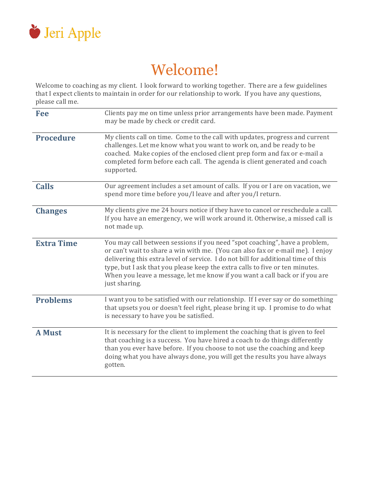

#### Welcome!

Welcome to coaching as my client. I look forward to working together. There are a few guidelines that I expect clients to maintain in order for our relationship to work. If you have any questions, please call me.

| <b>Fee</b>        | Clients pay me on time unless prior arrangements have been made. Payment<br>may be made by check or credit card.                                                                                                                                                                                                                                                                                                                  |
|-------------------|-----------------------------------------------------------------------------------------------------------------------------------------------------------------------------------------------------------------------------------------------------------------------------------------------------------------------------------------------------------------------------------------------------------------------------------|
| <b>Procedure</b>  | My clients call on time. Come to the call with updates, progress and current<br>challenges. Let me know what you want to work on, and be ready to be<br>coached. Make copies of the enclosed client prep form and fax or e-mail a<br>completed form before each call. The agenda is client generated and coach<br>supported.                                                                                                      |
| <b>Calls</b>      | Our agreement includes a set amount of calls. If you or I are on vacation, we<br>spend more time before you/I leave and after you/I return.                                                                                                                                                                                                                                                                                       |
| <b>Changes</b>    | My clients give me 24 hours notice if they have to cancel or reschedule a call.<br>If you have an emergency, we will work around it. Otherwise, a missed call is<br>not made up.                                                                                                                                                                                                                                                  |
| <b>Extra Time</b> | You may call between sessions if you need "spot coaching", have a problem,<br>or can't wait to share a win with me. (You can also fax or e-mail me). I enjoy<br>delivering this extra level of service. I do not bill for additional time of this<br>type, but I ask that you please keep the extra calls to five or ten minutes.<br>When you leave a message, let me know if you want a call back or if you are<br>just sharing. |
| <b>Problems</b>   | I want you to be satisfied with our relationship. If I ever say or do something<br>that upsets you or doesn't feel right, please bring it up. I promise to do what<br>is necessary to have you be satisfied.                                                                                                                                                                                                                      |
| <b>A Must</b>     | It is necessary for the client to implement the coaching that is given to feel<br>that coaching is a success. You have hired a coach to do things differently<br>than you ever have before. If you choose to not use the coaching and keep<br>doing what you have always done, you will get the results you have always<br>gotten.                                                                                                |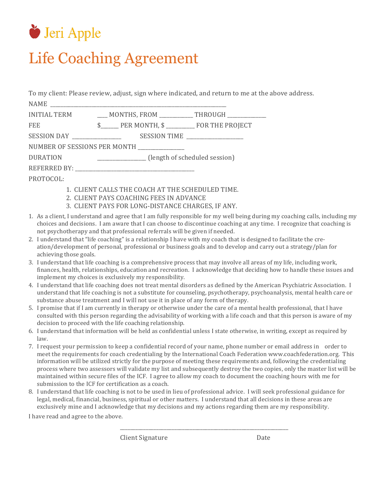

### Life Coaching Agreement

To my client: Please review, adjust, sign where indicated, and return to me at the above address. NAME \_\_\_\_\_\_\_\_\_\_\_\_\_\_\_\_\_\_\_\_\_\_\_\_\_\_\_\_\_\_\_\_\_\_\_\_\_\_\_\_\_\_\_\_\_\_\_\_\_\_\_\_\_\_\_\_\_\_\_\_\_\_\_\_\_\_\_\_ 

| <b>INITIAL TERM</b>                        | MONTHS, FROM THROUGH             |  |
|--------------------------------------------|----------------------------------|--|
| <b>FEE</b>                                 | \$ PER MONTH, \$ FOR THE PROJECT |  |
| SESSION DAY ______________<br>SESSION TIME |                                  |  |
| NUMBER OF SESSIONS PER MONTH               |                                  |  |
| <b>DURATION</b>                            | (length of scheduled session)    |  |
| <b>REFERRED BY:</b>                        |                                  |  |

PROTOCOL:

- 1. CLIENT CALLS THE COACH AT THE SCHEDULED TIME.
- 2. CLIENT PAYS COACHING FEES IN ADVANCE
- 3. CLIENT PAYS FOR LONG-DISTANCE CHARGES, IF ANY.
- 1. As a client, I understand and agree that I am fully responsible for my well being during my coaching calls, including my choices and decisions. I am aware that I can choose to discontinue coaching at any time. I recognize that coaching is not psychotherapy and that professional referrals will be given if needed.
- 2. I understand that "life coaching" is a relationship I have with my coach that is designed to facilitate the creation/development of personal, professional or business goals and to develop and carry out a strategy/plan for achieving those goals.
- 3. I understand that life coaching is a comprehensive process that may involve all areas of my life, including work, finances, health, relationships, education and recreation. I acknowledge that deciding how to handle these issues and implement my choices is exclusively my responsibility.
- 4. I understand that life coaching does not treat mental disorders as defined by the American Psychiatric Association. I understand that life coaching is not a substitute for counseling, psychotherapy, psychoanalysis, mental health care or substance abuse treatment and I will not use it in place of any form of therapy.
- 5. I promise that if I am currently in therapy or otherwise under the care of a mental health professional, that I have consulted with this person regarding the advisability of working with a life coach and that this person is aware of my decision to proceed with the life coaching relationship.
- 6. I understand that information will be held as confidential unless I state otherwise, in writing, except as required by law.
- 7. I request vour permission to keep a confidential record of your name, phone number or email address in order to meet the requirements for coach credentialing by the International Coach Federation www.coachfederation.org. This information will be utilized strictly for the purpose of meeting these requirements and, following the credentialing process where two assessors will validate my list and subsequently destroy the two copies, only the master list will be maintained within secure files of the ICF. I agree to allow my coach to document the coaching hours with me for submission to the ICF for certification as a coach.
- 8. I understand that life coaching is not to be used in lieu of professional advice. I will seek professional guidance for legal, medical, financial, business, spiritual or other matters. I understand that all decisions in these areas are exclusively mine and I acknowledge that my decisions and my actions regarding them are my responsibility.

\_\_\_\_\_\_\_\_\_\_\_\_\_\_\_\_\_\_\_\_\_\_\_\_\_\_\_\_\_\_\_\_\_\_\_\_\_\_\_\_\_\_\_\_\_\_\_\_\_\_\_\_\_\_\_\_\_\_\_\_\_\_\_\_\_

I have read and agree to the above.

Client Signature Date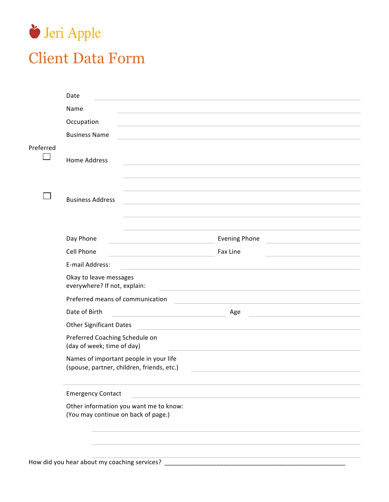

## Client Data Form

|           | Date                                                                                 |                      |
|-----------|--------------------------------------------------------------------------------------|----------------------|
|           | Name                                                                                 |                      |
|           | Occupation                                                                           |                      |
|           | <b>Business Name</b>                                                                 |                      |
| Preferred | <b>Home Address</b>                                                                  |                      |
|           | <b>Business Address</b>                                                              |                      |
|           |                                                                                      |                      |
|           | Day Phone                                                                            | <b>Evening Phone</b> |
|           | Cell Phone<br><u> 1980 - Johann Barn, fransk politik (</u>                           | Fax Line             |
|           | E-mail Address:                                                                      |                      |
|           | Okay to leave messages<br>everywhere? If not, explain:                               |                      |
|           | Preferred means of communication                                                     |                      |
|           | Date of Birth<br><u> 1980 - Johann Barn, mars an t-Amerikaansk kommunister (</u>     | Age                  |
|           | <b>Other Significant Dates</b><br><u> 1980 - Andrea Andrew Maria (h. 1980).</u>      |                      |
|           | Preferred Coaching Schedule on<br>(day of week; time of day)                         |                      |
|           | Names of important people in your life<br>(spouse, partner, children, friends, etc.) |                      |
|           | <b>Emergency Contact</b>                                                             |                      |
|           | Other information you want me to know:<br>(You may continue on back of page.)        |                      |
|           |                                                                                      |                      |
|           |                                                                                      |                      |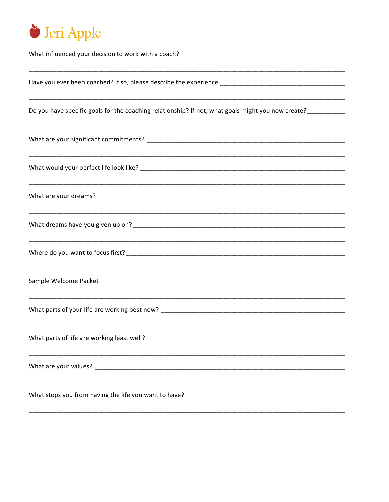

| Do you have specific goals for the coaching relationship? If not, what goals might you now create? |
|----------------------------------------------------------------------------------------------------|
|                                                                                                    |
|                                                                                                    |
|                                                                                                    |
|                                                                                                    |
|                                                                                                    |
|                                                                                                    |
|                                                                                                    |
|                                                                                                    |
|                                                                                                    |
|                                                                                                    |
|                                                                                                    |
|                                                                                                    |
|                                                                                                    |
|                                                                                                    |
|                                                                                                    |
|                                                                                                    |
|                                                                                                    |
|                                                                                                    |
|                                                                                                    |
|                                                                                                    |
|                                                                                                    |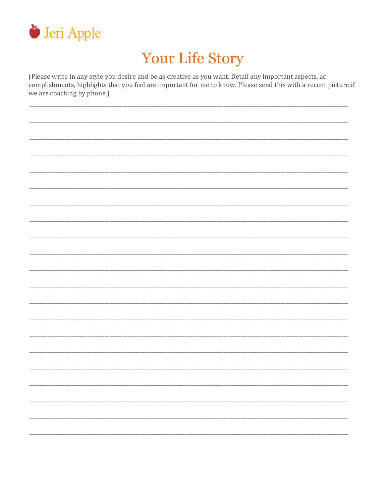

### **Your Life Story**

(Please write in any style you desire and be as creative as you want. Detail any important aspects, accomplishments, highlights that you feel are important for me to know. Please send this with a recent picture if we are coaching by phone.)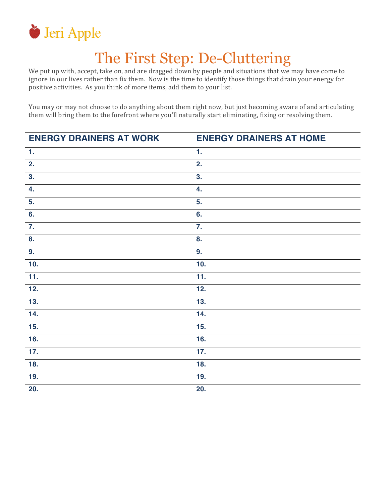

## The First Step: De-Cluttering

We put up with, accept, take on, and are dragged down by people and situations that we may have come to ignore in our lives rather than fix them. Now is the time to identify those things that drain your energy for positive activities. As you think of more items, add them to your list.

You may or may not choose to do anything about them right now, but just becoming aware of and articulating them will bring them to the forefront where you'll naturally start eliminating, fixing or resolving them.

| <b>ENERGY DRAINERS AT WORK</b> | <b>ENERGY DRAINERS AT HOME</b> |
|--------------------------------|--------------------------------|
| $\overline{1}$ .               | $\overline{1}$ .               |
| 2.                             | 2.                             |
| 3.                             | 3.                             |
| 4.                             | 4.                             |
| 5.                             | 5.                             |
| 6.                             | 6.                             |
| $\overline{7}$ .               | $\mathbf{7}$ .                 |
| 8.                             | $\overline{\mathbf{8}}$ .      |
| 9.                             | 9.                             |
| 10.                            | 10.                            |
| 11.                            | 11.                            |
| 12.                            | 12.                            |
| 13.                            | $13.$                          |
| $\boxed{14}$                   | 14.                            |
| 15.                            | 15.                            |
| 16.                            | 16.                            |
| 17.                            | 17.                            |
| 18.                            | 18.                            |
| 19.                            | 19.                            |
| 20.                            | 20.                            |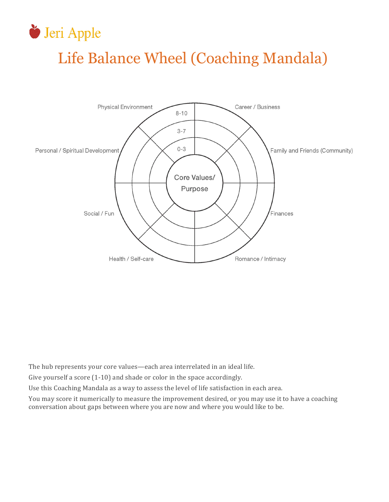

# Life Balance Wheel (Coaching Mandala)



The hub represents your core values—each area interrelated in an ideal life.

Give yourself a score  $(1-10)$  and shade or color in the space accordingly.

Use this Coaching Mandala as a way to assess the level of life satisfaction in each area.

You may score it numerically to measure the improvement desired, or you may use it to have a coaching conversation about gaps between where you are now and where you would like to be.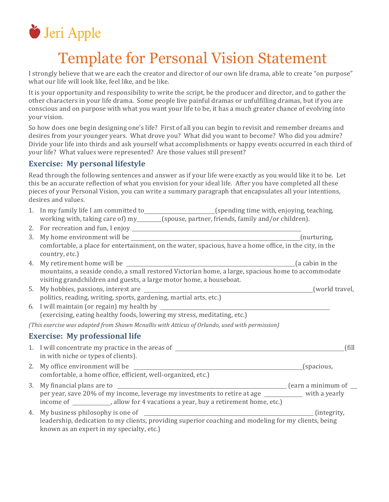

## Template for Personal Vision Statement

I strongly believe that we are each the creator and director of our own life drama, able to create "on purpose" what our life will look like, feel like, and be like.

It is your opportunity and responsibility to write the script, be the producer and director, and to gather the other characters in your life drama. Some people live painful dramas or unfulfilling dramas, but if you are conscious and on purpose with what you want your life to be, it has a much greater chance of evolving into your vision.

So how does one begin designing one's life? First of all you can begin to revisit and remember dreams and desires from your younger years. What drove you? What did you want to become? Who did you admire? Divide your life into thirds and ask yourself what accomplishments or happy events occurred in each third of your life? What values were represented? Are those values still present?

#### **Exercise: My personal lifestyle**

Read through the following sentences and answer as if your life were exactly as you would like it to be. Let this be an accurate reflection of what you envision for your ideal life. After you have completed all these pieces of your Personal Vision, you can write a summary paragraph that encapsulates all your intentions, desires and values.

- 1. In my family life I am committed to (spending time with, enjoying, teaching, working with, taking care of) my\_\_\_\_\_\_(spouse, partner, friends, family and/or children).
- 2. For recreation and fun, I enjoy
- 3. My home environment will be  $\overline{a}$  (nurturing,  $\overline{b}$ ) (nurturing,  $\overline{b}$ ) (nurturing,  $\overline{b}$ ) (nurturing,  $\overline{b}$ ) (nurturing,  $\overline{b}$ ) (nurturing,  $\overline{b}$ ) (nurturing,  $\overline{b}$ ) (nurturing,  $\overline{b}$ ) (nurt comfortable, a place for entertainment, on the water, spacious, have a home office, in the city, in the country, etc.)
- 4. My retirement home will be (a cabin in the (a cabin in the (a cabin in the origin to the origin to the origin to the origin to the structure origin to the structure origin to the structure origin to the structure origin mountains, a seaside condo, a small restored Victorian home, a large, spacious home to accommodate visiting grandchildren and guests, a large motor home, a houseboat.
- 5. My hobbies, passions, interest are *Networe the Contravel* (world travel, politics, reading, writing, sports, gardening, martial arts, etc.)
- 6. I will maintain (or regain) my health by  $\overline{\phantom{a}}$ (exercising, eating healthy foods, lowering my stress, meditating, etc.)

*(This exercise was adapted from Shawn Mcnallis with Atticus of Orlando, used with permission)* 

#### **Exercise: My professional life**

| 1. I will concentrate my practice in the areas of ______<br>in with niche or types of clients).                                                                   | (fill              |
|-------------------------------------------------------------------------------------------------------------------------------------------------------------------|--------------------|
| 2. My office environment will be<br>comfortable, a home office, efficient, well-organized, etc.)                                                                  | (spacious,         |
| per year, save 20% of my income, leverage my investments to retire at age with a yearly<br>income of , allow for 4 vacations a year, buy a retirement home, etc.) | (earn a minimum of |
| leadership, dedication to my clients, providing superior coaching and modeling for my clients, being<br>known as an expert in my specialty, etc.)                 | (integrity,        |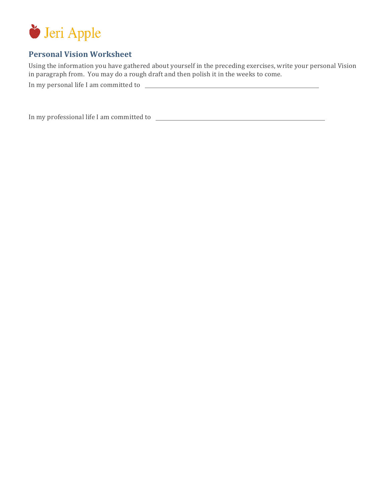

#### **Personal Vision Worksheet**

Using the information you have gathered about yourself in the preceding exercises, write your personal Vision in paragraph from. You may do a rough draft and then polish it in the weeks to come.

In my personal life I am committed to  $\qquad$ 

In my professional life I am committed to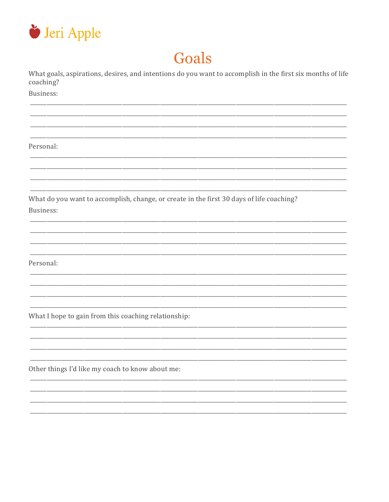

#### Goals

What goals, aspirations, desires, and intentions do you want to accomplish in the first six months of life coaching?

Business:

Personal:

What do you want to accomplish, change, or create in the first 30 days of life coaching? Business:

Personal:

What I hope to gain from this coaching relationship:

Other things I'd like my coach to know about me: